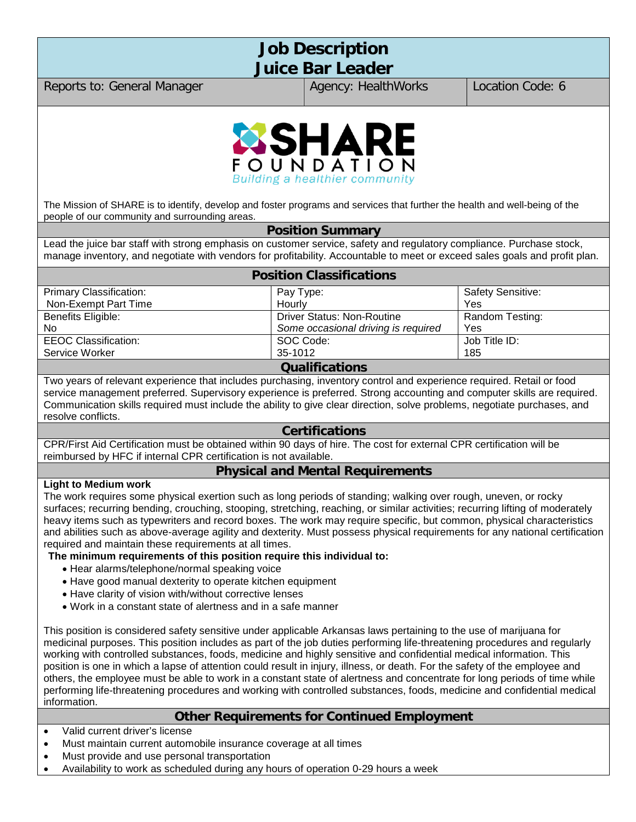# **Job Description Juice Bar Leader**

Reports to: General Manager Agency: HealthWorks | Location Code: 6



The Mission of SHARE is to identify, develop and foster programs and services that further the health and well-being of the people of our community and surrounding areas.

#### **Position Summary**

Lead the juice bar staff with strong emphasis on customer service, safety and regulatory compliance. Purchase stock, manage inventory, and negotiate with vendors for profitability. Accountable to meet or exceed sales goals and profit plan.

| <b>Position Classifications</b> |                                     |                          |  |  |
|---------------------------------|-------------------------------------|--------------------------|--|--|
| <b>Primary Classification:</b>  | Pay Type:                           | <b>Safety Sensitive:</b> |  |  |
| Non-Exempt Part Time            | Hourly                              | Yes                      |  |  |
| Benefits Eligible:              | <b>Driver Status: Non-Routine</b>   | Random Testing:          |  |  |
| <b>No</b>                       | Some occasional driving is required | Yes                      |  |  |
| <b>EEOC Classification:</b>     | SOC Code:                           | Job Title ID:            |  |  |
| Service Worker                  | 35-1012                             | 185                      |  |  |
| <b>Qualifications</b>           |                                     |                          |  |  |

Two years of relevant experience that includes purchasing, inventory control and experience required. Retail or food service management preferred. Supervisory experience is preferred. Strong accounting and computer skills are required. Communication skills required must include the ability to give clear direction, solve problems, negotiate purchases, and resolve conflicts.

#### **Certifications**

CPR/First Aid Certification must be obtained within 90 days of hire. The cost for external CPR certification will be reimbursed by HFC if internal CPR certification is not available.

## **Physical and Mental Requirements**

#### **Light to Medium work**

The work requires some physical exertion such as long periods of standing; walking over rough, uneven, or rocky surfaces; recurring bending, crouching, stooping, stretching, reaching, or similar activities; recurring lifting of moderately heavy items such as typewriters and record boxes. The work may require specific, but common, physical characteristics and abilities such as above-average agility and dexterity. Must possess physical requirements for any national certification required and maintain these requirements at all times.

#### **The minimum requirements of this position require this individual to:**

- Hear alarms/telephone/normal speaking voice
- Have good manual dexterity to operate kitchen equipment
- Have clarity of vision with/without corrective lenses
- Work in a constant state of alertness and in a safe manner

This position is considered safety sensitive under applicable Arkansas laws pertaining to the use of marijuana for medicinal purposes. This position includes as part of the job duties performing life-threatening procedures and regularly working with controlled substances, foods, medicine and highly sensitive and confidential medical information. This position is one in which a lapse of attention could result in injury, illness, or death. For the safety of the employee and others, the employee must be able to work in a constant state of alertness and concentrate for long periods of time while performing life-threatening procedures and working with controlled substances, foods, medicine and confidential medical information.

#### **Other Requirements for Continued Employment**

- Valid current driver's license
- Must maintain current automobile insurance coverage at all times
- Must provide and use personal transportation
- Availability to work as scheduled during any hours of operation 0-29 hours a week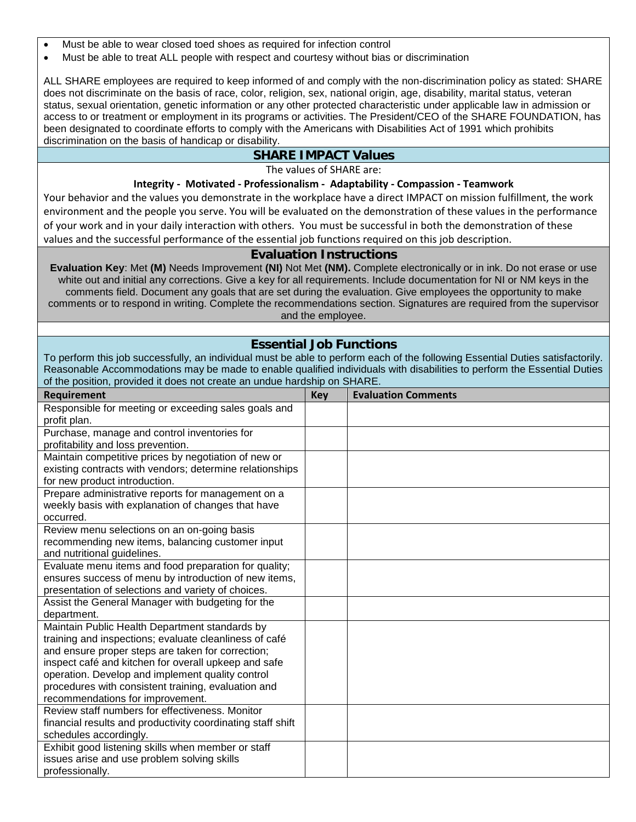- Must be able to wear closed toed shoes as required for infection control
- Must be able to treat ALL people with respect and courtesy without bias or discrimination

ALL SHARE employees are required to keep informed of and comply with the non-discrimination policy as stated: SHARE does not discriminate on the basis of race, color, religion, sex, national origin, age, disability, marital status, veteran status, sexual orientation, genetic information or any other protected characteristic under applicable law in admission or access to or treatment or employment in its programs or activities. The President/CEO of the SHARE FOUNDATION, has been designated to coordinate efforts to comply with the Americans with Disabilities Act of 1991 which prohibits discrimination on the basis of handicap or disability.

# **SHARE IMPACT Values**

The values of SHARE are:

#### **Integrity - Motivated - Professionalism - Adaptability - Compassion - Teamwork**

Your behavior and the values you demonstrate in the workplace have a direct IMPACT on mission fulfillment, the work environment and the people you serve. You will be evaluated on the demonstration of these values in the performance of your work and in your daily interaction with others. You must be successful in both the demonstration of these values and the successful performance of the essential job functions required on this job description.

#### **Evaluation Instructions**

**Evaluation Key**: Met **(M)** Needs Improvement **(NI)** Not Met **(NM).** Complete electronically or in ink. Do not erase or use white out and initial any corrections. Give a key for all requirements. Include documentation for NI or NM keys in the comments field. Document any goals that are set during the evaluation. Give employees the opportunity to make comments or to respond in writing. Complete the recommendations section. Signatures are required from the supervisor and the employee.

## **Essential Job Functions**

To perform this job successfully, an individual must be able to perform each of the following Essential Duties satisfactorily. Reasonable Accommodations may be made to enable qualified individuals with disabilities to perform the Essential Duties of the position, provided it does not create an undue hardship on SHARE.

| Requirement                                                                           | <b>Key</b> | <b>Evaluation Comments</b> |
|---------------------------------------------------------------------------------------|------------|----------------------------|
| Responsible for meeting or exceeding sales goals and                                  |            |                            |
| profit plan.                                                                          |            |                            |
| Purchase, manage and control inventories for                                          |            |                            |
| profitability and loss prevention.                                                    |            |                            |
| Maintain competitive prices by negotiation of new or                                  |            |                            |
| existing contracts with vendors; determine relationships                              |            |                            |
| for new product introduction.                                                         |            |                            |
| Prepare administrative reports for management on a                                    |            |                            |
| weekly basis with explanation of changes that have                                    |            |                            |
| occurred.                                                                             |            |                            |
| Review menu selections on an on-going basis                                           |            |                            |
| recommending new items, balancing customer input                                      |            |                            |
| and nutritional guidelines.                                                           |            |                            |
| Evaluate menu items and food preparation for quality;                                 |            |                            |
| ensures success of menu by introduction of new items,                                 |            |                            |
| presentation of selections and variety of choices.                                    |            |                            |
| Assist the General Manager with budgeting for the                                     |            |                            |
| department.                                                                           |            |                            |
| Maintain Public Health Department standards by                                        |            |                            |
| training and inspections; evaluate cleanliness of café                                |            |                            |
| and ensure proper steps are taken for correction;                                     |            |                            |
| inspect café and kitchen for overall upkeep and safe                                  |            |                            |
| operation. Develop and implement quality control                                      |            |                            |
| procedures with consistent training, evaluation and                                   |            |                            |
| recommendations for improvement.<br>Review staff numbers for effectiveness. Monitor   |            |                            |
|                                                                                       |            |                            |
| financial results and productivity coordinating staff shift<br>schedules accordingly. |            |                            |
| Exhibit good listening skills when member or staff                                    |            |                            |
| issues arise and use problem solving skills                                           |            |                            |
| professionally.                                                                       |            |                            |
|                                                                                       |            |                            |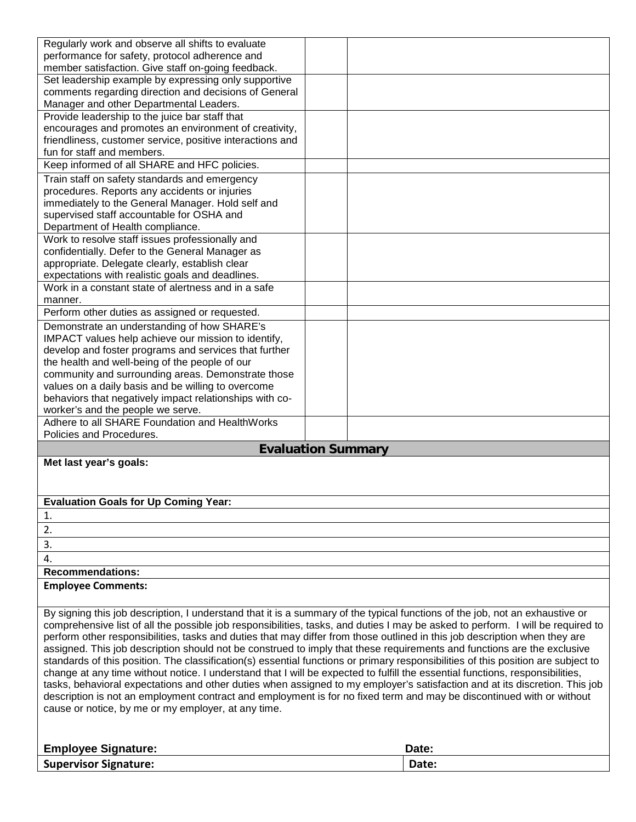| Regularly work and observe all shifts to evaluate                                                                                                                                                                                                               |                                                                                                                            |  |  |  |
|-----------------------------------------------------------------------------------------------------------------------------------------------------------------------------------------------------------------------------------------------------------------|----------------------------------------------------------------------------------------------------------------------------|--|--|--|
| performance for safety, protocol adherence and                                                                                                                                                                                                                  |                                                                                                                            |  |  |  |
| member satisfaction. Give staff on-going feedback.                                                                                                                                                                                                              |                                                                                                                            |  |  |  |
| Set leadership example by expressing only supportive                                                                                                                                                                                                            |                                                                                                                            |  |  |  |
| comments regarding direction and decisions of General                                                                                                                                                                                                           |                                                                                                                            |  |  |  |
| Manager and other Departmental Leaders.                                                                                                                                                                                                                         |                                                                                                                            |  |  |  |
| Provide leadership to the juice bar staff that<br>encourages and promotes an environment of creativity,                                                                                                                                                         |                                                                                                                            |  |  |  |
| friendliness, customer service, positive interactions and                                                                                                                                                                                                       |                                                                                                                            |  |  |  |
| fun for staff and members.                                                                                                                                                                                                                                      |                                                                                                                            |  |  |  |
| Keep informed of all SHARE and HFC policies.                                                                                                                                                                                                                    |                                                                                                                            |  |  |  |
|                                                                                                                                                                                                                                                                 |                                                                                                                            |  |  |  |
| Train staff on safety standards and emergency<br>procedures. Reports any accidents or injuries                                                                                                                                                                  |                                                                                                                            |  |  |  |
| immediately to the General Manager. Hold self and                                                                                                                                                                                                               |                                                                                                                            |  |  |  |
| supervised staff accountable for OSHA and                                                                                                                                                                                                                       |                                                                                                                            |  |  |  |
| Department of Health compliance.                                                                                                                                                                                                                                |                                                                                                                            |  |  |  |
| Work to resolve staff issues professionally and                                                                                                                                                                                                                 |                                                                                                                            |  |  |  |
| confidentially. Defer to the General Manager as                                                                                                                                                                                                                 |                                                                                                                            |  |  |  |
| appropriate. Delegate clearly, establish clear                                                                                                                                                                                                                  |                                                                                                                            |  |  |  |
| expectations with realistic goals and deadlines.                                                                                                                                                                                                                |                                                                                                                            |  |  |  |
| Work in a constant state of alertness and in a safe                                                                                                                                                                                                             |                                                                                                                            |  |  |  |
| manner.                                                                                                                                                                                                                                                         |                                                                                                                            |  |  |  |
| Perform other duties as assigned or requested.                                                                                                                                                                                                                  |                                                                                                                            |  |  |  |
| Demonstrate an understanding of how SHARE's                                                                                                                                                                                                                     |                                                                                                                            |  |  |  |
| IMPACT values help achieve our mission to identify,                                                                                                                                                                                                             |                                                                                                                            |  |  |  |
| develop and foster programs and services that further                                                                                                                                                                                                           |                                                                                                                            |  |  |  |
| the health and well-being of the people of our                                                                                                                                                                                                                  |                                                                                                                            |  |  |  |
| community and surrounding areas. Demonstrate those                                                                                                                                                                                                              |                                                                                                                            |  |  |  |
| values on a daily basis and be willing to overcome                                                                                                                                                                                                              |                                                                                                                            |  |  |  |
| behaviors that negatively impact relationships with co-                                                                                                                                                                                                         |                                                                                                                            |  |  |  |
| worker's and the people we serve.                                                                                                                                                                                                                               |                                                                                                                            |  |  |  |
| Adhere to all SHARE Foundation and HealthWorks                                                                                                                                                                                                                  |                                                                                                                            |  |  |  |
| Policies and Procedures.                                                                                                                                                                                                                                        |                                                                                                                            |  |  |  |
|                                                                                                                                                                                                                                                                 | <b>Evaluation Summary</b>                                                                                                  |  |  |  |
| Met last year's goals:                                                                                                                                                                                                                                          |                                                                                                                            |  |  |  |
|                                                                                                                                                                                                                                                                 |                                                                                                                            |  |  |  |
|                                                                                                                                                                                                                                                                 |                                                                                                                            |  |  |  |
| <b>Evaluation Goals for Up Coming Year:</b>                                                                                                                                                                                                                     |                                                                                                                            |  |  |  |
| 1.                                                                                                                                                                                                                                                              |                                                                                                                            |  |  |  |
| 2.                                                                                                                                                                                                                                                              |                                                                                                                            |  |  |  |
| 3.                                                                                                                                                                                                                                                              |                                                                                                                            |  |  |  |
| 4.                                                                                                                                                                                                                                                              |                                                                                                                            |  |  |  |
| <b>Recommendations:</b>                                                                                                                                                                                                                                         |                                                                                                                            |  |  |  |
| <b>Employee Comments:</b>                                                                                                                                                                                                                                       |                                                                                                                            |  |  |  |
|                                                                                                                                                                                                                                                                 |                                                                                                                            |  |  |  |
| By signing this job description, I understand that it is a summary of the typical functions of the job, not an exhaustive or<br>comprehensive list of all the possible job responsibilities, tasks, and duties I may be asked to perform. I will be required to |                                                                                                                            |  |  |  |
|                                                                                                                                                                                                                                                                 | perform other responsibilities, tasks and duties that may differ from those outlined in this job description when they are |  |  |  |
| assigned. This job description should not be construed to imply that these requirements and functions are the exclusive                                                                                                                                         |                                                                                                                            |  |  |  |
|                                                                                                                                                                                                                                                                 |                                                                                                                            |  |  |  |

standards of this position. The classification(s) essential functions or primary responsibilities of this position are subject to change at any time without notice. I understand that I will be expected to fulfill the essential functions, responsibilities, tasks, behavioral expectations and other duties when assigned to my employer's satisfaction and at its discretion. This job description is not an employment contract and employment is for no fixed term and may be discontinued with or without cause or notice, by me or my employer, at any time.

| <b>Employee Signature:</b>   | Date.        |
|------------------------------|--------------|
| <b>Supervisor Signature:</b> | <b>Date:</b> |